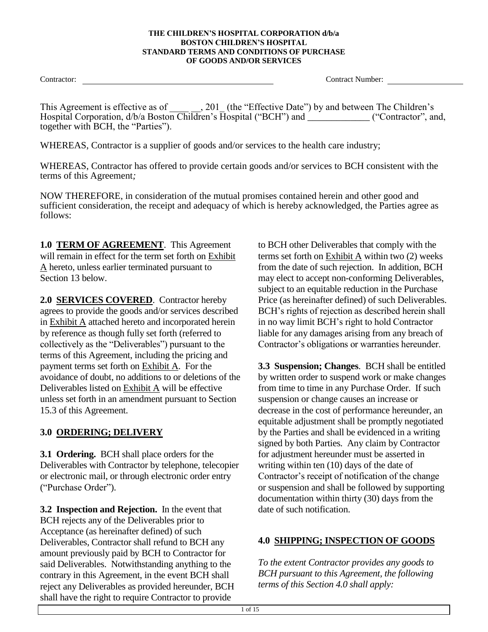Contractor: Contractor: Contractor: Contractor: Contractor: Contractor: Contractor: Contractor: Contractor: Contractor: Contractor: Contractor: Contractor: Contractor: Contractor: Contractor: Contractor: Contractor: Contra

This Agreement is effective as of \_\_\_\_\_\_, 201 (the "Effective Date") by and between The Children's Hospital Corporation, d/b/a Boston Children's Hospital ("BCH") and \_\_\_\_\_\_\_\_\_\_\_\_\_("Contractor", and, together with BCH, the "Parties").

WHEREAS, Contractor is a supplier of goods and/or services to the health care industry;

WHEREAS, Contractor has offered to provide certain goods and/or services to BCH consistent with the terms of this Agreement*;*

NOW THEREFORE, in consideration of the mutual promises contained herein and other good and sufficient consideration, the receipt and adequacy of which is hereby acknowledged, the Parties agree as follows:

**1.0 TERM OF AGREEMENT**. This Agreement will remain in effect for the term set forth on Exhibit A hereto, unless earlier terminated pursuant to Section 13 below.

**2.0 SERVICES COVERED**. Contractor hereby agrees to provide the goods and/or services described in Exhibit A attached hereto and incorporated herein by reference as though fully set forth (referred to collectively as the "Deliverables") pursuant to the terms of this Agreement, including the pricing and payment terms set forth on Exhibit A. For the avoidance of doubt, no additions to or deletions of the Deliverables listed on Exhibit A will be effective unless set forth in an amendment pursuant to Section 15.3 of this Agreement.

# **3.0 ORDERING; DELIVERY**

**3.1 Ordering.** BCH shall place orders for the Deliverables with Contractor by telephone, telecopier or electronic mail, or through electronic order entry ("Purchase Order").

**3.2 Inspection and Rejection.** In the event that BCH rejects any of the Deliverables prior to Acceptance (as hereinafter defined) of such Deliverables, Contractor shall refund to BCH any amount previously paid by BCH to Contractor for said Deliverables. Notwithstanding anything to the contrary in this Agreement, in the event BCH shall reject any Deliverables as provided hereunder, BCH shall have the right to require Contractor to provide

to BCH other Deliverables that comply with the terms set forth on Exhibit A within two (2) weeks from the date of such rejection. In addition, BCH may elect to accept non-conforming Deliverables, subject to an equitable reduction in the Purchase Price (as hereinafter defined) of such Deliverables. BCH's rights of rejection as described herein shall in no way limit BCH's right to hold Contractor liable for any damages arising from any breach of Contractor's obligations or warranties hereunder.

**3.3 Suspension; Changes**. BCH shall be entitled by written order to suspend work or make changes from time to time in any Purchase Order. If such suspension or change causes an increase or decrease in the cost of performance hereunder, an equitable adjustment shall be promptly negotiated by the Parties and shall be evidenced in a writing signed by both Parties. Any claim by Contractor for adjustment hereunder must be asserted in writing within ten (10) days of the date of Contractor's receipt of notification of the change or suspension and shall be followed by supporting documentation within thirty (30) days from the date of such notification.

# **4.0 SHIPPING; INSPECTION OF GOODS**

*To the extent Contractor provides any goods to BCH pursuant to this Agreement, the following terms of this Section 4.0 shall apply:*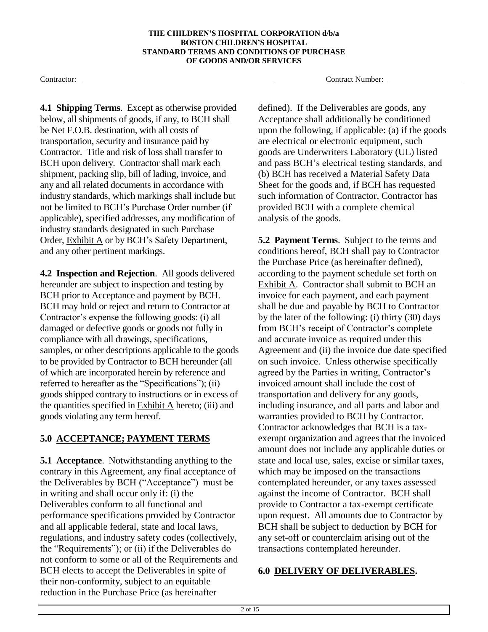**4.1 Shipping Terms**. Except as otherwise provided below, all shipments of goods, if any, to BCH shall be Net F.O.B. destination, with all costs of transportation, security and insurance paid by Contractor. Title and risk of loss shall transfer to BCH upon delivery. Contractor shall mark each shipment, packing slip, bill of lading, invoice, and any and all related documents in accordance with industry standards, which markings shall include but not be limited to BCH's Purchase Order number (if applicable), specified addresses, any modification of industry standards designated in such Purchase Order, Exhibit A or by BCH's Safety Department, and any other pertinent markings.

**4.2 Inspection and Rejection**. All goods delivered hereunder are subject to inspection and testing by BCH prior to Acceptance and payment by BCH. BCH may hold or reject and return to Contractor at Contractor's expense the following goods: (i) all damaged or defective goods or goods not fully in compliance with all drawings, specifications, samples, or other descriptions applicable to the goods to be provided by Contractor to BCH hereunder (all of which are incorporated herein by reference and referred to hereafter as the "Specifications"); (ii) goods shipped contrary to instructions or in excess of the quantities specified in Exhibit A hereto; (iii) and goods violating any term hereof.

## **5.0 ACCEPTANCE; PAYMENT TERMS**

**5.1 Acceptance**. Notwithstanding anything to the contrary in this Agreement, any final acceptance of the Deliverables by BCH ("Acceptance") must be in writing and shall occur only if: (i) the Deliverables conform to all functional and performance specifications provided by Contractor and all applicable federal, state and local laws, regulations, and industry safety codes (collectively, the "Requirements"); or (ii) if the Deliverables do not conform to some or all of the Requirements and BCH elects to accept the Deliverables in spite of their non-conformity, subject to an equitable reduction in the Purchase Price (as hereinafter

Contractor: Contractor: Contractor: Contractor: Contractor: Contractor: Contractor: Contractor: Contractor: Contractor: Contractor: Contractor: Contractor: Contractor: Contractor: Contractor: Contractor: Contractor: Contra

defined). If the Deliverables are goods, any Acceptance shall additionally be conditioned upon the following, if applicable: (a) if the goods are electrical or electronic equipment, such goods are Underwriters Laboratory (UL) listed and pass BCH's electrical testing standards, and (b) BCH has received a Material Safety Data Sheet for the goods and, if BCH has requested such information of Contractor, Contractor has provided BCH with a complete chemical analysis of the goods.

**5.2 Payment Terms**. Subject to the terms and conditions hereof, BCH shall pay to Contractor the Purchase Price (as hereinafter defined), according to the payment schedule set forth on Exhibit A. Contractor shall submit to BCH an invoice for each payment, and each payment shall be due and payable by BCH to Contractor by the later of the following: (i) thirty (30) days from BCH's receipt of Contractor's complete and accurate invoice as required under this Agreement and (ii) the invoice due date specified on such invoice. Unless otherwise specifically agreed by the Parties in writing, Contractor's invoiced amount shall include the cost of transportation and delivery for any goods, including insurance, and all parts and labor and warranties provided to BCH by Contractor. Contractor acknowledges that BCH is a taxexempt organization and agrees that the invoiced amount does not include any applicable duties or state and local use, sales, excise or similar taxes, which may be imposed on the transactions contemplated hereunder, or any taxes assessed against the income of Contractor. BCH shall provide to Contractor a tax-exempt certificate upon request. All amounts due to Contractor by BCH shall be subject to deduction by BCH for any set-off or counterclaim arising out of the transactions contemplated hereunder.

### **6.0 DELIVERY OF DELIVERABLES.**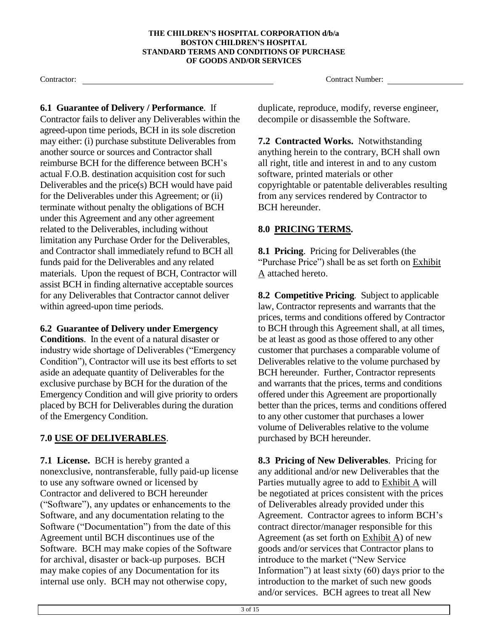**6.1 Guarantee of Delivery / Performance**. If Contractor fails to deliver any Deliverables within the agreed-upon time periods, BCH in its sole discretion may either: (i) purchase substitute Deliverables from another source or sources and Contractor shall reimburse BCH for the difference between BCH's actual F.O.B. destination acquisition cost for such Deliverables and the price(s) BCH would have paid for the Deliverables under this Agreement; or (ii) terminate without penalty the obligations of BCH under this Agreement and any other agreement related to the Deliverables, including without limitation any Purchase Order for the Deliverables, and Contractor shall immediately refund to BCH all funds paid for the Deliverables and any related materials. Upon the request of BCH, Contractor will assist BCH in finding alternative acceptable sources for any Deliverables that Contractor cannot deliver within agreed-upon time periods.

### **6.2 Guarantee of Delivery under Emergency**

**Conditions**. In the event of a natural disaster or industry wide shortage of Deliverables ("Emergency Condition"), Contractor will use its best efforts to set aside an adequate quantity of Deliverables for the exclusive purchase by BCH for the duration of the Emergency Condition and will give priority to orders placed by BCH for Deliverables during the duration of the Emergency Condition.

# **7.0 USE OF DELIVERABLES**.

**7.1 License.** BCH is hereby granted a nonexclusive, nontransferable, fully paid-up license to use any software owned or licensed by Contractor and delivered to BCH hereunder ("Software"), any updates or enhancements to the Software, and any documentation relating to the Software ("Documentation") from the date of this Agreement until BCH discontinues use of the Software. BCH may make copies of the Software for archival, disaster or back-up purposes. BCH may make copies of any Documentation for its internal use only. BCH may not otherwise copy,

Contractor: Contractor: Contractor: Contractor: Contractor: Contractor: Contractor: Contractor: Contractor: Contractor: Contractor: Contractor: Contractor: Contractor: Contractor: Contractor: Contractor: Contractor: Contra

duplicate, reproduce, modify, reverse engineer, decompile or disassemble the Software.

**7.2 Contracted Works.** Notwithstanding anything herein to the contrary, BCH shall own all right, title and interest in and to any custom software, printed materials or other copyrightable or patentable deliverables resulting from any services rendered by Contractor to BCH hereunder.

## **8.0 PRICING TERMS.**

**8.1 Pricing**. Pricing for Deliverables (the "Purchase Price") shall be as set forth on Exhibit A attached hereto.

**8.2 Competitive Pricing**. Subject to applicable law, Contractor represents and warrants that the prices, terms and conditions offered by Contractor to BCH through this Agreement shall, at all times, be at least as good as those offered to any other customer that purchases a comparable volume of Deliverables relative to the volume purchased by BCH hereunder. Further, Contractor represents and warrants that the prices, terms and conditions offered under this Agreement are proportionally better than the prices, terms and conditions offered to any other customer that purchases a lower volume of Deliverables relative to the volume purchased by BCH hereunder.

**8.3 Pricing of New Deliverables**. Pricing for any additional and/or new Deliverables that the Parties mutually agree to add to Exhibit A will be negotiated at prices consistent with the prices of Deliverables already provided under this Agreement. Contractor agrees to inform BCH's contract director/manager responsible for this Agreement (as set forth on Exhibit A) of new goods and/or services that Contractor plans to introduce to the market ("New Service Information") at least sixty (60) days prior to the introduction to the market of such new goods and/or services. BCH agrees to treat all New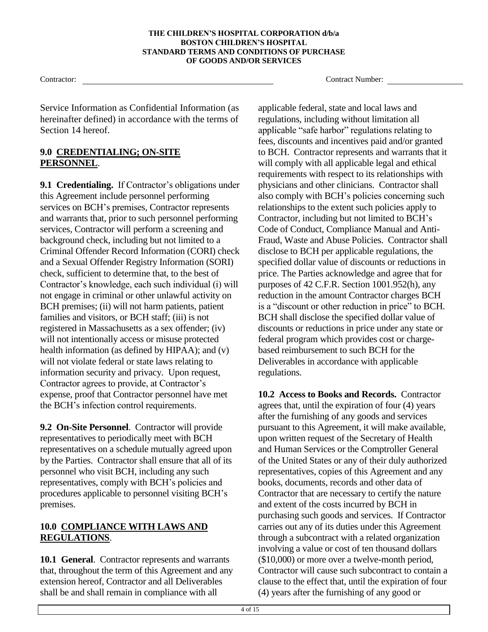Service Information as Confidential Information (as hereinafter defined) in accordance with the terms of Section 14 hereof.

### **9.0 CREDENTIALING; ON-SITE PERSONNEL**.

9.1 Credentialing. If Contractor's obligations under this Agreement include personnel performing services on BCH's premises, Contractor represents and warrants that, prior to such personnel performing services, Contractor will perform a screening and background check, including but not limited to a Criminal Offender Record Information (CORI) check and a Sexual Offender Registry Information (SORI) check, sufficient to determine that, to the best of Contractor's knowledge, each such individual (i) will not engage in criminal or other unlawful activity on BCH premises; (ii) will not harm patients, patient families and visitors, or BCH staff; (iii) is not registered in Massachusetts as a sex offender; (iv) will not intentionally access or misuse protected health information (as defined by HIPAA); and (v) will not violate federal or state laws relating to information security and privacy. Upon request, Contractor agrees to provide, at Contractor's expense, proof that Contractor personnel have met the BCH's infection control requirements.

**9.2 On-Site Personnel**. Contractor will provide representatives to periodically meet with BCH representatives on a schedule mutually agreed upon by the Parties. Contractor shall ensure that all of its personnel who visit BCH, including any such representatives, comply with BCH's policies and procedures applicable to personnel visiting BCH's premises.

## **10.0 COMPLIANCE WITH LAWS AND REGULATIONS**.

**10.1 General**. Contractor represents and warrants that, throughout the term of this Agreement and any extension hereof, Contractor and all Deliverables shall be and shall remain in compliance with all

Contractor: Contractor: Contractor: Contractor: Contractor: Contractor: Contractor: Contractor: Contractor: Contractor: Contractor: Contractor: Contractor: Contractor: Contractor: Contractor: Contractor: Contractor: Contra

applicable federal, state and local laws and regulations, including without limitation all applicable "safe harbor" regulations relating to fees, discounts and incentives paid and/or granted to BCH. Contractor represents and warrants that it will comply with all applicable legal and ethical requirements with respect to its relationships with physicians and other clinicians. Contractor shall also comply with BCH's policies concerning such relationships to the extent such policies apply to Contractor, including but not limited to BCH's Code of Conduct, Compliance Manual and Anti-Fraud, Waste and Abuse Policies. Contractor shall disclose to BCH per applicable regulations, the specified dollar value of discounts or reductions in price. The Parties acknowledge and agree that for purposes of 42 C.F.R. Section 1001.952(h), any reduction in the amount Contractor charges BCH is a "discount or other reduction in price" to BCH. BCH shall disclose the specified dollar value of discounts or reductions in price under any state or federal program which provides cost or chargebased reimbursement to such BCH for the Deliverables in accordance with applicable regulations.

**10.2 Access to Books and Records.** Contractor agrees that, until the expiration of four (4) years after the furnishing of any goods and services pursuant to this Agreement, it will make available, upon written request of the Secretary of Health and Human Services or the Comptroller General of the United States or any of their duly authorized representatives, copies of this Agreement and any books, documents, records and other data of Contractor that are necessary to certify the nature and extent of the costs incurred by BCH in purchasing such goods and services. If Contractor carries out any of its duties under this Agreement through a subcontract with a related organization involving a value or cost of ten thousand dollars (\$10,000) or more over a twelve-month period, Contractor will cause such subcontract to contain a clause to the effect that, until the expiration of four (4) years after the furnishing of any good or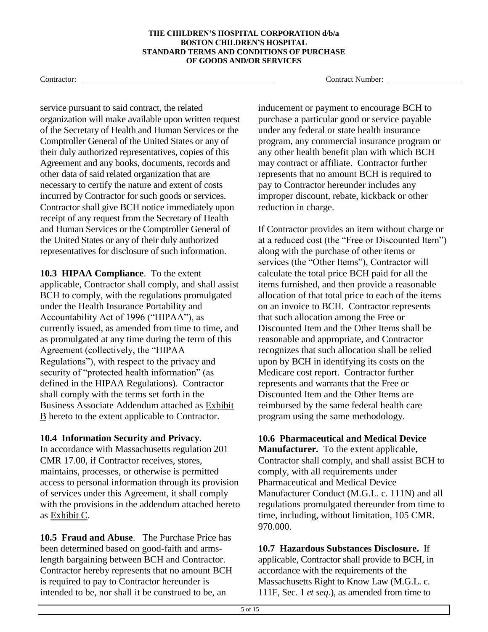service pursuant to said contract, the related organization will make available upon written request of the Secretary of Health and Human Services or the Comptroller General of the United States or any of their duly authorized representatives, copies of this Agreement and any books, documents, records and other data of said related organization that are necessary to certify the nature and extent of costs incurred by Contractor for such goods or services. Contractor shall give BCH notice immediately upon receipt of any request from the Secretary of Health and Human Services or the Comptroller General of the United States or any of their duly authorized representatives for disclosure of such information.

**10.3 HIPAA Compliance**. To the extent applicable, Contractor shall comply, and shall assist BCH to comply, with the regulations promulgated under the Health Insurance Portability and Accountability Act of 1996 ("HIPAA"), as currently issued, as amended from time to time, and as promulgated at any time during the term of this Agreement (collectively, the "HIPAA Regulations"), with respect to the privacy and security of "protected health information" (as defined in the HIPAA Regulations). Contractor shall comply with the terms set forth in the Business Associate Addendum attached as Exhibit B hereto to the extent applicable to Contractor.

### **10.4 Information Security and Privacy**.

In accordance with Massachusetts regulation 201 CMR 17.00, if Contractor receives, stores, maintains, processes, or otherwise is permitted access to personal information through its provision of services under this Agreement, it shall comply with the provisions in the addendum attached hereto as Exhibit C.

**10.5 Fraud and Abuse**. The Purchase Price has been determined based on good-faith and armslength bargaining between BCH and Contractor. Contractor hereby represents that no amount BCH is required to pay to Contractor hereunder is intended to be, nor shall it be construed to be, an

Contractor: Contractor: Contractor: Contractor: Contractor: Contractor: Contractor: Contractor: Contractor: Contractor: Contractor: Contractor: Contractor: Contractor: Contractor: Contractor: Contractor: Contractor: Contra

inducement or payment to encourage BCH to purchase a particular good or service payable under any federal or state health insurance program, any commercial insurance program or any other health benefit plan with which BCH may contract or affiliate. Contractor further represents that no amount BCH is required to pay to Contractor hereunder includes any improper discount, rebate, kickback or other reduction in charge.

If Contractor provides an item without charge or at a reduced cost (the "Free or Discounted Item") along with the purchase of other items or services (the "Other Items"), Contractor will calculate the total price BCH paid for all the items furnished, and then provide a reasonable allocation of that total price to each of the items on an invoice to BCH. Contractor represents that such allocation among the Free or Discounted Item and the Other Items shall be reasonable and appropriate, and Contractor recognizes that such allocation shall be relied upon by BCH in identifying its costs on the Medicare cost report. Contractor further represents and warrants that the Free or Discounted Item and the Other Items are reimbursed by the same federal health care program using the same methodology.

**10.6 Pharmaceutical and Medical Device Manufacturer.** To the extent applicable, Contractor shall comply, and shall assist BCH to comply, with all requirements under Pharmaceutical and Medical Device Manufacturer Conduct (M.G.L. c. 111N) and all regulations promulgated thereunder from time to time, including, without limitation, 105 CMR. 970.000.

**10.7 Hazardous Substances Disclosure.** If applicable, Contractor shall provide to BCH, in accordance with the requirements of the Massachusetts Right to Know Law (M.G.L. c. 111F, Sec. 1 *et seq*.), as amended from time to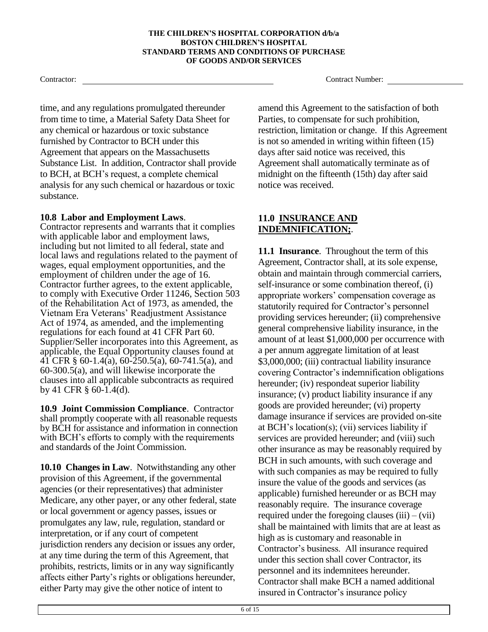time, and any regulations promulgated thereunder from time to time, a Material Safety Data Sheet for any chemical or hazardous or toxic substance furnished by Contractor to BCH under this Agreement that appears on the Massachusetts Substance List. In addition, Contractor shall provide to BCH, at BCH's request, a complete chemical analysis for any such chemical or hazardous or toxic substance.

### **10.8 Labor and Employment Laws**.

Contractor represents and warrants that it complies with applicable labor and employment laws, including but not limited to all federal, state and local laws and regulations related to the payment of wages, equal employment opportunities, and the employment of children under the age of 16. Contractor further agrees, to the extent applicable, to comply with Executive Order 11246, Section 503 of the Rehabilitation Act of 1973, as amended, the Vietnam Era Veterans' Readjustment Assistance Act of 1974, as amended, and the implementing regulations for each found at 41 CFR Part 60. Supplier/Seller incorporates into this Agreement, as applicable, the Equal Opportunity clauses found at 41 CFR § 60-1.4(a), 60-250.5(a), 60-741.5(a), and 60-300.5(a), and will likewise incorporate the clauses into all applicable subcontracts as required by 41 CFR § 60-1.4(d).

**10.9 Joint Commission Compliance**. Contractor shall promptly cooperate with all reasonable requests by BCH for assistance and information in connection with BCH's efforts to comply with the requirements and standards of the Joint Commission.

**10.10 Changes in Law**. Notwithstanding any other provision of this Agreement, if the governmental agencies (or their representatives) that administer Medicare, any other payer, or any other federal, state or local government or agency passes, issues or promulgates any law, rule, regulation, standard or interpretation, or if any court of competent jurisdiction renders any decision or issues any order, at any time during the term of this Agreement, that prohibits, restricts, limits or in any way significantly affects either Party's rights or obligations hereunder, either Party may give the other notice of intent to

Contractor: Contractor: Contractor: Contractor: Contractor: Contractor: Contractor: Contractor: Contractor: Contractor: Contractor: Contractor: Contractor: Contractor: Contractor: Contractor: Contractor: Contractor: Contra

amend this Agreement to the satisfaction of both Parties, to compensate for such prohibition, restriction, limitation or change. If this Agreement is not so amended in writing within fifteen (15) days after said notice was received, this Agreement shall automatically terminate as of midnight on the fifteenth (15th) day after said notice was received.

## **11.0 INSURANCE AND INDEMNIFICATION;**.

**11.1 Insurance**. Throughout the term of this Agreement, Contractor shall, at its sole expense, obtain and maintain through commercial carriers, self-insurance or some combination thereof, (i) appropriate workers' compensation coverage as statutorily required for Contractor's personnel providing services hereunder; (ii) comprehensive general comprehensive liability insurance, in the amount of at least \$1,000,000 per occurrence with a per annum aggregate limitation of at least \$3,000,000; (iii) contractual liability insurance covering Contractor's indemnification obligations hereunder; (iv) respondeat superior liability insurance; (v) product liability insurance if any goods are provided hereunder; (vi) property damage insurance if services are provided on-site at BCH's location(s); (vii) services liability if services are provided hereunder; and (viii) such other insurance as may be reasonably required by BCH in such amounts, with such coverage and with such companies as may be required to fully insure the value of the goods and services (as applicable) furnished hereunder or as BCH may reasonably require. The insurance coverage required under the foregoing clauses  $(iii) - (vii)$ shall be maintained with limits that are at least as high as is customary and reasonable in Contractor's business. All insurance required under this section shall cover Contractor, its personnel and its indemnitees hereunder. Contractor shall make BCH a named additional insured in Contractor's insurance policy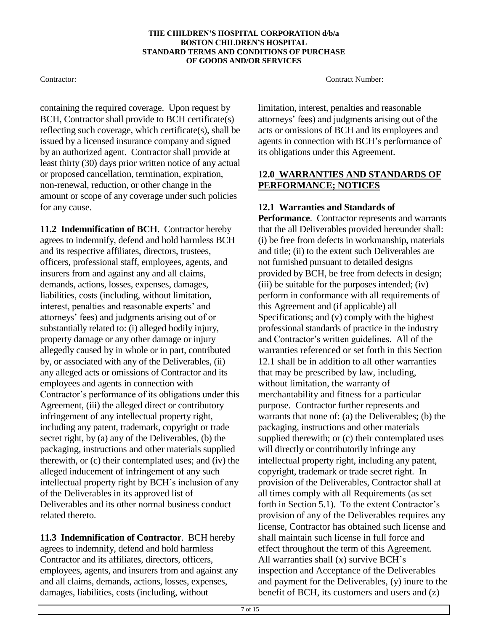containing the required coverage. Upon request by BCH, Contractor shall provide to BCH certificate(s) reflecting such coverage, which certificate(s), shall be issued by a licensed insurance company and signed by an authorized agent. Contractor shall provide at least thirty (30) days prior written notice of any actual or proposed cancellation, termination, expiration, non-renewal, reduction, or other change in the amount or scope of any coverage under such policies for any cause.

**11.2 Indemnification of BCH**. Contractor hereby agrees to indemnify, defend and hold harmless BCH and its respective affiliates, directors, trustees, officers, professional staff, employees, agents, and insurers from and against any and all claims, demands, actions, losses, expenses, damages, liabilities, costs (including, without limitation, interest, penalties and reasonable experts' and attorneys' fees) and judgments arising out of or substantially related to: (i) alleged bodily injury, property damage or any other damage or injury allegedly caused by in whole or in part, contributed by, or associated with any of the Deliverables, (ii) any alleged acts or omissions of Contractor and its employees and agents in connection with Contractor's performance of its obligations under this Agreement, (iii) the alleged direct or contributory infringement of any intellectual property right, including any patent, trademark, copyright or trade secret right, by (a) any of the Deliverables, (b) the packaging, instructions and other materials supplied therewith, or (c) their contemplated uses; and (iv) the alleged inducement of infringement of any such intellectual property right by BCH's inclusion of any of the Deliverables in its approved list of Deliverables and its other normal business conduct related thereto.

**11.3 Indemnification of Contractor**. BCH hereby agrees to indemnify, defend and hold harmless Contractor and its affiliates, directors, officers, employees, agents, and insurers from and against any and all claims, demands, actions, losses, expenses, damages, liabilities, costs (including, without

Contractor: Contractor: Contractor: Contractor: Contractor: Contractor: Contractor: Contractor: Contractor: Contractor: Contractor: Contractor: Contractor: Contractor: Contractor: Contractor: Contractor: Contractor: Contra

limitation, interest, penalties and reasonable attorneys' fees) and judgments arising out of the acts or omissions of BCH and its employees and agents in connection with BCH's performance of its obligations under this Agreement.

## **12.0 WARRANTIES AND STANDARDS OF PERFORMANCE; NOTICES**

# **12.1 Warranties and Standards of**

**Performance**. Contractor represents and warrants that the all Deliverables provided hereunder shall: (i) be free from defects in workmanship, materials and title; (ii) to the extent such Deliverables are not furnished pursuant to detailed designs provided by BCH, be free from defects in design; (iii) be suitable for the purposes intended; (iv) perform in conformance with all requirements of this Agreement and (if applicable) all Specifications; and (v) comply with the highest professional standards of practice in the industry and Contractor's written guidelines. All of the warranties referenced or set forth in this Section 12.1 shall be in addition to all other warranties that may be prescribed by law, including, without limitation, the warranty of merchantability and fitness for a particular purpose. Contractor further represents and warrants that none of: (a) the Deliverables; (b) the packaging, instructions and other materials supplied therewith; or (c) their contemplated uses will directly or contributorily infringe any intellectual property right, including any patent, copyright, trademark or trade secret right. In provision of the Deliverables, Contractor shall at all times comply with all Requirements (as set forth in Section 5.1). To the extent Contractor's provision of any of the Deliverables requires any license, Contractor has obtained such license and shall maintain such license in full force and effect throughout the term of this Agreement. All warranties shall (x) survive BCH's inspection and Acceptance of the Deliverables and payment for the Deliverables, (y) inure to the benefit of BCH, its customers and users and (z)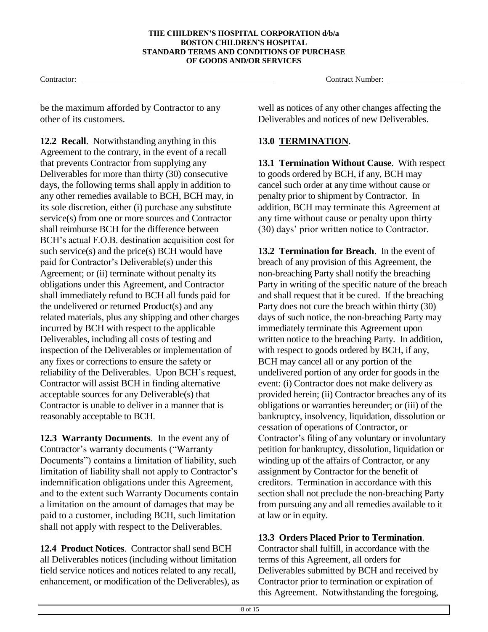Contractor: Contractor: Contractor: Contractor: Contractor: Contractor: Contractor: Contractor: Contractor: Contractor: Contractor: Contractor: Contractor: Contractor: Contractor: Contractor: Contractor: Contractor: Contra

be the maximum afforded by Contractor to any other of its customers.

**12.2 Recall**. Notwithstanding anything in this Agreement to the contrary, in the event of a recall that prevents Contractor from supplying any Deliverables for more than thirty (30) consecutive days, the following terms shall apply in addition to any other remedies available to BCH, BCH may, in its sole discretion, either (i) purchase any substitute service(s) from one or more sources and Contractor shall reimburse BCH for the difference between BCH's actual F.O.B. destination acquisition cost for such service(s) and the price(s) BCH would have paid for Contractor's Deliverable(s) under this Agreement; or (ii) terminate without penalty its obligations under this Agreement, and Contractor shall immediately refund to BCH all funds paid for the undelivered or returned Product(s) and any related materials, plus any shipping and other charges incurred by BCH with respect to the applicable Deliverables, including all costs of testing and inspection of the Deliverables or implementation of any fixes or corrections to ensure the safety or reliability of the Deliverables. Upon BCH's request, Contractor will assist BCH in finding alternative acceptable sources for any Deliverable(s) that Contractor is unable to deliver in a manner that is reasonably acceptable to BCH.

**12.3 Warranty Documents**. In the event any of Contractor's warranty documents ("Warranty Documents") contains a limitation of liability, such limitation of liability shall not apply to Contractor's indemnification obligations under this Agreement, and to the extent such Warranty Documents contain a limitation on the amount of damages that may be paid to a customer, including BCH, such limitation shall not apply with respect to the Deliverables.

**12.4 Product Notices**. Contractor shall send BCH all Deliverables notices (including without limitation field service notices and notices related to any recall, enhancement, or modification of the Deliverables), as well as notices of any other changes affecting the Deliverables and notices of new Deliverables.

# **13.0 TERMINATION**.

**13.1 Termination Without Cause**. With respect to goods ordered by BCH, if any, BCH may cancel such order at any time without cause or penalty prior to shipment by Contractor. In addition, BCH may terminate this Agreement at any time without cause or penalty upon thirty (30) days' prior written notice to Contractor.

**13.2 Termination for Breach**. In the event of breach of any provision of this Agreement, the non-breaching Party shall notify the breaching Party in writing of the specific nature of the breach and shall request that it be cured. If the breaching Party does not cure the breach within thirty (30) days of such notice, the non-breaching Party may immediately terminate this Agreement upon written notice to the breaching Party. In addition, with respect to goods ordered by BCH, if any, BCH may cancel all or any portion of the undelivered portion of any order for goods in the event: (i) Contractor does not make delivery as provided herein; (ii) Contractor breaches any of its obligations or warranties hereunder; or (iii) of the bankruptcy, insolvency, liquidation, dissolution or cessation of operations of Contractor, or Contractor's filing of any voluntary or involuntary petition for bankruptcy, dissolution, liquidation or winding up of the affairs of Contractor, or any assignment by Contractor for the benefit of creditors. Termination in accordance with this section shall not preclude the non-breaching Party from pursuing any and all remedies available to it at law or in equity.

# **13.3 Orders Placed Prior to Termination**.

Contractor shall fulfill, in accordance with the terms of this Agreement, all orders for Deliverables submitted by BCH and received by Contractor prior to termination or expiration of this Agreement. Notwithstanding the foregoing,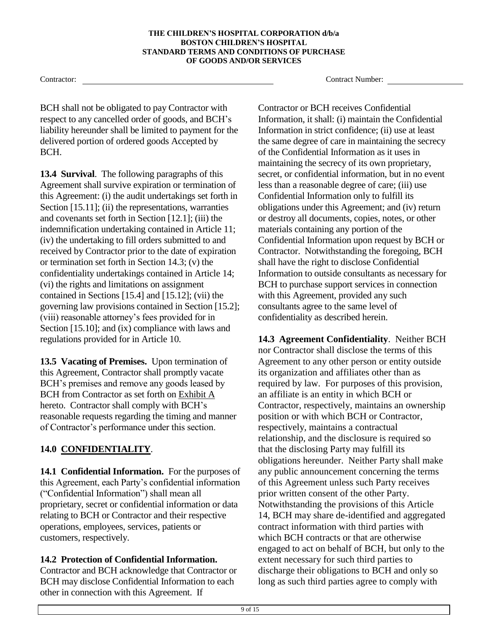BCH shall not be obligated to pay Contractor with respect to any cancelled order of goods, and BCH's liability hereunder shall be limited to payment for the delivered portion of ordered goods Accepted by BCH.

**13.4 Survival**. The following paragraphs of this Agreement shall survive expiration or termination of this Agreement: (i) the audit undertakings set forth in Section [15.11]; (ii) the representations, warranties and covenants set forth in Section [12.1]; (iii) the indemnification undertaking contained in Article 11; (iv) the undertaking to fill orders submitted to and received by Contractor prior to the date of expiration or termination set forth in Section 14.3; (v) the confidentiality undertakings contained in Article 14; (vi) the rights and limitations on assignment contained in Sections [15.4] and [15.12]; (vii) the governing law provisions contained in Section [15.2]; (viii) reasonable attorney's fees provided for in Section [15.10]; and (ix) compliance with laws and regulations provided for in Article 10.

**13.5 Vacating of Premises.** Upon termination of this Agreement, Contractor shall promptly vacate BCH's premises and remove any goods leased by BCH from Contractor as set forth on Exhibit A hereto. Contractor shall comply with BCH's reasonable requests regarding the timing and manner of Contractor's performance under this section.

# **14.0 CONFIDENTIALITY**.

**14.1 Confidential Information.** For the purposes of this Agreement, each Party's confidential information ("Confidential Information") shall mean all proprietary, secret or confidential information or data relating to BCH or Contractor and their respective operations, employees, services, patients or customers, respectively.

## **14.2 Protection of Confidential Information.**

Contractor and BCH acknowledge that Contractor or BCH may disclose Confidential Information to each other in connection with this Agreement. If

Contractor: Contractor: Contractor: Contractor: Contractor: Contractor: Contractor: Contractor: Contractor: Contractor: Contractor: Contractor: Contractor: Contractor: Contractor: Contractor: Contractor: Contractor: Contra

Contractor or BCH receives Confidential Information, it shall: (i) maintain the Confidential Information in strict confidence; (ii) use at least the same degree of care in maintaining the secrecy of the Confidential Information as it uses in maintaining the secrecy of its own proprietary, secret, or confidential information, but in no event less than a reasonable degree of care; (iii) use Confidential Information only to fulfill its obligations under this Agreement; and (iv) return or destroy all documents, copies, notes, or other materials containing any portion of the Confidential Information upon request by BCH or Contractor. Notwithstanding the foregoing, BCH shall have the right to disclose Confidential Information to outside consultants as necessary for BCH to purchase support services in connection with this Agreement, provided any such consultants agree to the same level of confidentiality as described herein.

**14.3 Agreement Confidentiality**. Neither BCH nor Contractor shall disclose the terms of this Agreement to any other person or entity outside its organization and affiliates other than as required by law. For purposes of this provision, an affiliate is an entity in which BCH or Contractor, respectively, maintains an ownership position or with which BCH or Contractor, respectively, maintains a contractual relationship, and the disclosure is required so that the disclosing Party may fulfill its obligations hereunder. Neither Party shall make any public announcement concerning the terms of this Agreement unless such Party receives prior written consent of the other Party. Notwithstanding the provisions of this Article 14, BCH may share de-identified and aggregated contract information with third parties with which BCH contracts or that are otherwise engaged to act on behalf of BCH, but only to the extent necessary for such third parties to discharge their obligations to BCH and only so long as such third parties agree to comply with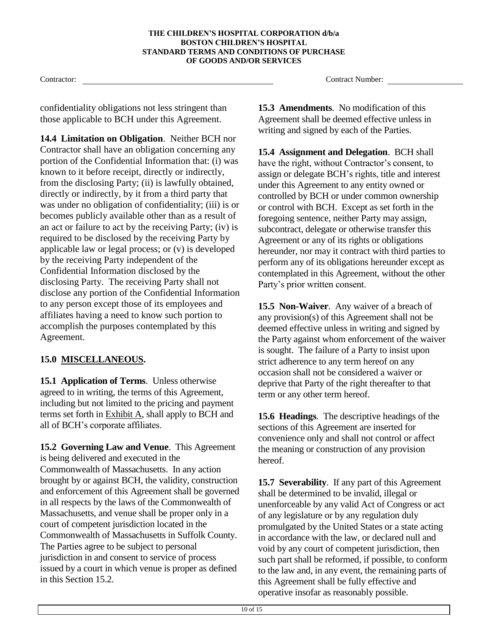confidentiality obligations not less stringent than those applicable to BCH under this Agreement.

**14.4 Limitation on Obligation**. Neither BCH nor Contractor shall have an obligation concerning any portion of the Confidential Information that: (i) was known to it before receipt, directly or indirectly, from the disclosing Party; (ii) is lawfully obtained, directly or indirectly, by it from a third party that was under no obligation of confidentiality; (iii) is or becomes publicly available other than as a result of an act or failure to act by the receiving Party; (iv) is required to be disclosed by the receiving Party by applicable law or legal process; or (v) is developed by the receiving Party independent of the Confidential Information disclosed by the disclosing Party. The receiving Party shall not disclose any portion of the Confidential Information to any person except those of its employees and affiliates having a need to know such portion to accomplish the purposes contemplated by this Agreement.

## **15.0 MISCELLANEOUS.**

**15.1 Application of Terms**. Unless otherwise agreed to in writing, the terms of this Agreement, including but not limited to the pricing and payment terms set forth in Exhibit A, shall apply to BCH and all of BCH's corporate affiliates.

**15.2 Governing Law and Venue**. This Agreement is being delivered and executed in the Commonwealth of Massachusetts. In any action brought by or against BCH, the validity, construction and enforcement of this Agreement shall be governed in all respects by the laws of the Commonwealth of Massachusetts, and venue shall be proper only in a court of competent jurisdiction located in the Commonwealth of Massachusetts in Suffolk County. The Parties agree to be subject to personal jurisdiction in and consent to service of process issued by a court in which venue is proper as defined in this Section 15.2.

Contractor: Contractor: Contractor: Contractor: Contractor: Contractor: Contractor: Contractor: Contractor: Contractor: Contractor: Contractor: Contractor: Contractor: Contractor: Contractor: Contractor: Contractor: Contra

**15.3 Amendments**. No modification of this Agreement shall be deemed effective unless in writing and signed by each of the Parties.

**15.4 Assignment and Delegation**. BCH shall have the right, without Contractor's consent, to assign or delegate BCH's rights, title and interest under this Agreement to any entity owned or controlled by BCH or under common ownership or control with BCH. Except as set forth in the foregoing sentence, neither Party may assign, subcontract, delegate or otherwise transfer this Agreement or any of its rights or obligations hereunder, nor may it contract with third parties to perform any of its obligations hereunder except as contemplated in this Agreement, without the other Party's prior written consent.

**15.5 Non-Waiver**. Any waiver of a breach of any provision(s) of this Agreement shall not be deemed effective unless in writing and signed by the Party against whom enforcement of the waiver is sought. The failure of a Party to insist upon strict adherence to any term hereof on any occasion shall not be considered a waiver or deprive that Party of the right thereafter to that term or any other term hereof.

**15.6 Headings**. The descriptive headings of the sections of this Agreement are inserted for convenience only and shall not control or affect the meaning or construction of any provision hereof.

**15.7 Severability**. If any part of this Agreement shall be determined to be invalid, illegal or unenforceable by any valid Act of Congress or act of any legislature or by any regulation duly promulgated by the United States or a state acting in accordance with the law, or declared null and void by any court of competent jurisdiction, then such part shall be reformed, if possible, to conform to the law and, in any event, the remaining parts of this Agreement shall be fully effective and operative insofar as reasonably possible.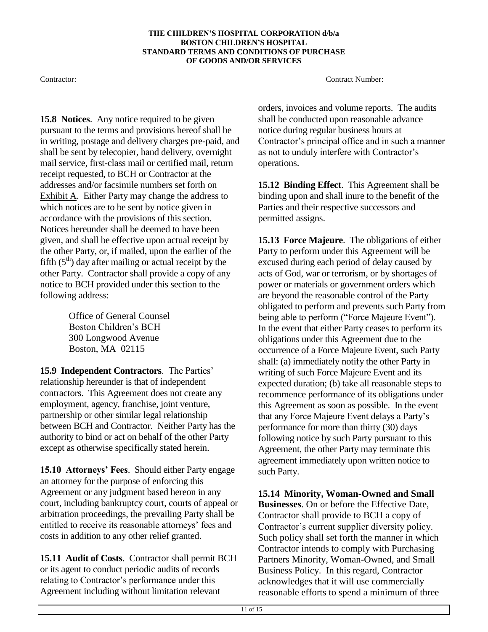**15.8 Notices**. Any notice required to be given pursuant to the terms and provisions hereof shall be in writing, postage and delivery charges pre-paid, and shall be sent by telecopier, hand delivery, overnight mail service, first-class mail or certified mail, return receipt requested, to BCH or Contractor at the addresses and/or facsimile numbers set forth on Exhibit A. Either Party may change the address to which notices are to be sent by notice given in accordance with the provisions of this section. Notices hereunder shall be deemed to have been given, and shall be effective upon actual receipt by the other Party, or, if mailed, upon the earlier of the fifth  $(5<sup>th</sup>)$  day after mailing or actual receipt by the other Party. Contractor shall provide a copy of any notice to BCH provided under this section to the following address:

> Office of General Counsel Boston Children's BCH 300 Longwood Avenue Boston, MA 02115

**15.9 Independent Contractors**. The Parties' relationship hereunder is that of independent contractors. This Agreement does not create any employment, agency, franchise, joint venture, partnership or other similar legal relationship between BCH and Contractor. Neither Party has the authority to bind or act on behalf of the other Party except as otherwise specifically stated herein.

**15.10 Attorneys' Fees**. Should either Party engage an attorney for the purpose of enforcing this Agreement or any judgment based hereon in any court, including bankruptcy court, courts of appeal or arbitration proceedings, the prevailing Party shall be entitled to receive its reasonable attorneys' fees and costs in addition to any other relief granted.

**15.11 Audit of Costs**. Contractor shall permit BCH or its agent to conduct periodic audits of records relating to Contractor's performance under this Agreement including without limitation relevant

Contractor: Contractor: Contractor: Contract Number: Contract Number: Contract Number: Contract Number: Contract Number: Contract Number: Contract Number: Contract Number: Contract Number: Contract Number: Contract Number:

orders, invoices and volume reports. The audits shall be conducted upon reasonable advance notice during regular business hours at Contractor's principal office and in such a manner as not to unduly interfere with Contractor's operations.

**15.12 Binding Effect**. This Agreement shall be binding upon and shall inure to the benefit of the Parties and their respective successors and permitted assigns.

**15.13 Force Majeure**. The obligations of either Party to perform under this Agreement will be excused during each period of delay caused by acts of God, war or terrorism, or by shortages of power or materials or government orders which are beyond the reasonable control of the Party obligated to perform and prevents such Party from being able to perform ("Force Majeure Event"). In the event that either Party ceases to perform its obligations under this Agreement due to the occurrence of a Force Majeure Event, such Party shall: (a) immediately notify the other Party in writing of such Force Majeure Event and its expected duration; (b) take all reasonable steps to recommence performance of its obligations under this Agreement as soon as possible. In the event that any Force Majeure Event delays a Party's performance for more than thirty (30) days following notice by such Party pursuant to this Agreement, the other Party may terminate this agreement immediately upon written notice to such Party.

**15.14 Minority, Woman-Owned and Small Businesses**. On or before the Effective Date, Contractor shall provide to BCH a copy of Contractor's current supplier diversity policy. Such policy shall set forth the manner in which Contractor intends to comply with Purchasing Partners Minority, Woman-Owned, and Small Business Policy. In this regard, Contractor acknowledges that it will use commercially reasonable efforts to spend a minimum of three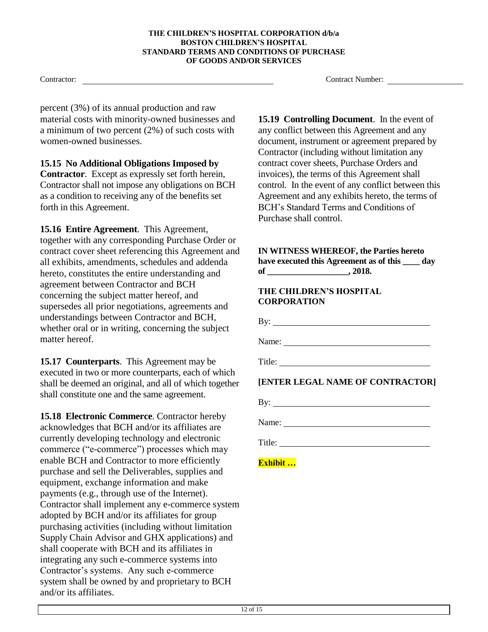percent (3%) of its annual production and raw material costs with minority-owned businesses and a minimum of two percent (2%) of such costs with women-owned businesses.

**15.15 No Additional Obligations Imposed by Contractor**. Except as expressly set forth herein, Contractor shall not impose any obligations on BCH as a condition to receiving any of the benefits set forth in this Agreement.

**15.16 Entire Agreement**. This Agreement, together with any corresponding Purchase Order or contract cover sheet referencing this Agreement and all exhibits, amendments, schedules and addenda hereto, constitutes the entire understanding and agreement between Contractor and BCH concerning the subject matter hereof, and supersedes all prior negotiations, agreements and understandings between Contractor and BCH, whether oral or in writing, concerning the subject matter hereof.

**15.17 Counterparts**. This Agreement may be executed in two or more counterparts, each of which shall be deemed an original, and all of which together shall constitute one and the same agreement.

**15.18 Electronic Commerce**. Contractor hereby acknowledges that BCH and/or its affiliates are currently developing technology and electronic commerce ("e-commerce") processes which may enable BCH and Contractor to more efficiently purchase and sell the Deliverables, supplies and equipment, exchange information and make payments (e.g., through use of the Internet). Contractor shall implement any e-commerce system adopted by BCH and/or its affiliates for group purchasing activities (including without limitation Supply Chain Advisor and GHX applications) and shall cooperate with BCH and its affiliates in integrating any such e-commerce systems into Contractor's systems. Any such e-commerce system shall be owned by and proprietary to BCH and/or its affiliates.

Contractor: Contractor: Contractor: Contractor: Contractor: Contractor: Contractor: Contractor: Contractor: Contractor: Contractor: Contractor: Contractor: Contractor: Contractor: Contractor: Contractor: Contractor: Contra

**15.19 Controlling Document**. In the event of any conflict between this Agreement and any document, instrument or agreement prepared by Contractor (including without limitation any contract cover sheets, Purchase Orders and invoices), the terms of this Agreement shall control. In the event of any conflict between this Agreement and any exhibits hereto, the terms of BCH's Standard Terms and Conditions of Purchase shall control.

### **IN WITNESS WHEREOF, the Parties hereto have executed this Agreement as of this \_\_\_\_ day of \_\_\_\_\_\_\_\_\_\_\_\_\_\_\_\_\_\_\_, 2018.**

### **THE CHILDREN'S HOSPITAL CORPORATION**

By:  $\qquad \qquad$ 

Name:

Title:

**[ENTER LEGAL NAME OF CONTRACTOR]**

By:

Name:

Title:

**Exhibit …**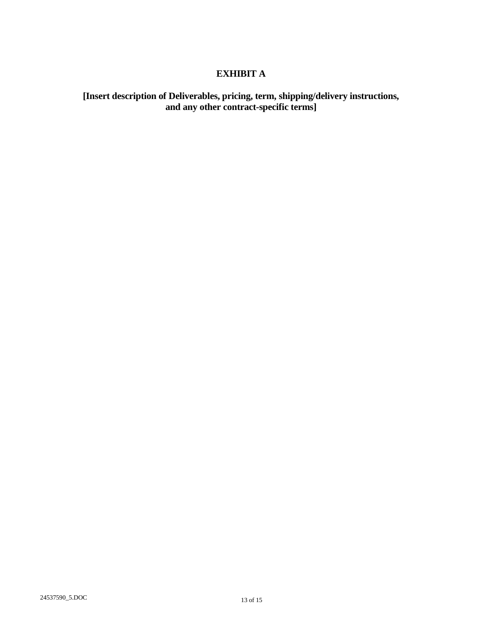# **EXHIBIT A**

# **[Insert description of Deliverables, pricing, term, shipping/delivery instructions, and any other contract-specific terms]**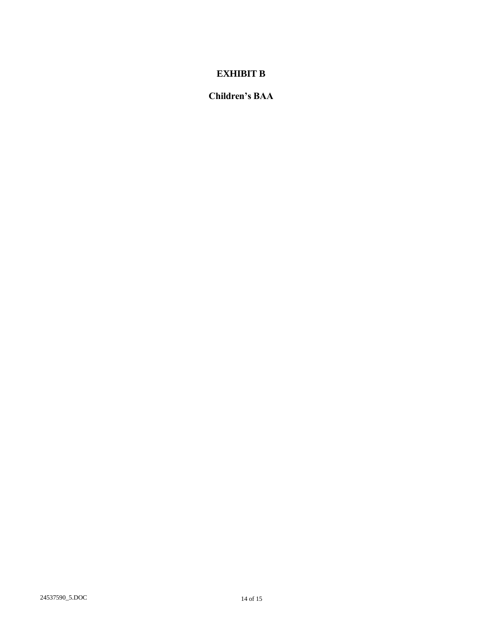# **EXHIBIT B**

**Children's BAA**